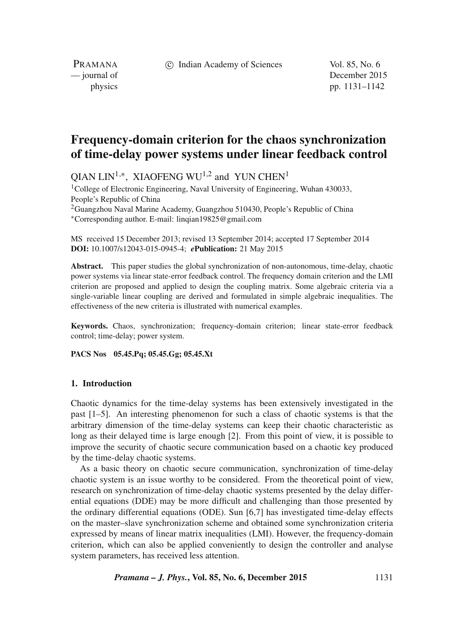c Indian Academy of Sciences Vol. 85, No. 6

PRAMANA<br>
— journal of

December 2015 physics pp. 1131–1142

# **Frequency-domain criterion for the chaos synchronization of time-delay power systems under linear feedback control**

OIAN LIN<sup>1,∗</sup>, XIAOFENG WU<sup>1,2</sup> and YUN CHEN<sup>1</sup>

<sup>1</sup>College of Electronic Engineering, Naval University of Engineering, Wuhan 430033, People's Republic of China  $2G$ uangzhou Naval Marine Academy, Guangzhou 510430, People's Republic of China

∗Corresponding author. E-mail: linqian19825@gmail.com

MS received 15 December 2013; revised 13 September 2014; accepted 17 September 2014 **DOI:** 10.1007/s12043-015-0945-4; *e***Publication:** 21 May 2015

**Abstract.** This paper studies the global synchronization of non-autonomous, time-delay, chaotic power systems via linear state-error feedback control. The frequency domain criterion and the LMI criterion are proposed and applied to design the coupling matrix. Some algebraic criteria via a single-variable linear coupling are derived and formulated in simple algebraic inequalities. The effectiveness of the new criteria is illustrated with numerical examples.

**Keywords.** Chaos, synchronization; frequency-domain criterion; linear state-error feedback control; time-delay; power system.

**PACS Nos 05.45.Pq; 05.45.Gg; 05.45.Xt**

## **1. Introduction**

Chaotic dynamics for the time-delay systems has been extensively investigated in the past [1–5]. An interesting phenomenon for such a class of chaotic systems is that the arbitrary dimension of the time-delay systems can keep their chaotic characteristic as long as their delayed time is large enough [2]. From this point of view, it is possible to improve the security of chaotic secure communication based on a chaotic key produced by the time-delay chaotic systems.

As a basic theory on chaotic secure communication, synchronization of time-delay chaotic system is an issue worthy to be considered. From the theoretical point of view, research on synchronization of time-delay chaotic systems presented by the delay differential equations (DDE) may be more difficult and challenging than those presented by the ordinary differential equations (ODE). Sun [6,7] has investigated time-delay effects on the master–slave synchronization scheme and obtained some synchronization criteria expressed by means of linear matrix inequalities (LMI). However, the frequency-domain criterion, which can also be applied conveniently to design the controller and analyse system parameters, has received less attention.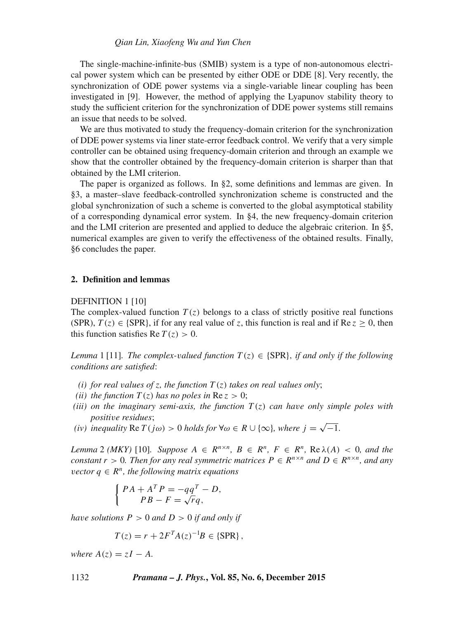## *Qian Lin, Xiaofeng Wu and Yun Chen*

The single-machine-infinite-bus (SMIB) system is a type of non-autonomous electrical power system which can be presented by either ODE or DDE [8]. Very recently, the synchronization of ODE power systems via a single-variable linear coupling has been investigated in [9]. However, the method of applying the Lyapunov stability theory to study the sufficient criterion for the synchronization of DDE power systems still remains an issue that needs to be solved.

We are thus motivated to study the frequency-domain criterion for the synchronization of DDE power systems via liner state-error feedback control. We verify that a very simple controller can be obtained using frequency-domain criterion and through an example we show that the controller obtained by the frequency-domain criterion is sharper than that obtained by the LMI criterion.

The paper is organized as follows. In §2, some definitions and lemmas are given. In §3, a master–slave feedback-controlled synchronization scheme is constructed and the global synchronization of such a scheme is converted to the global asymptotical stability of a corresponding dynamical error system. In §4, the new frequency-domain criterion and the LMI criterion are presented and applied to deduce the algebraic criterion. In §5, numerical examples are given to verify the effectiveness of the obtained results. Finally, §6 concludes the paper.

## **2. Definition and lemmas**

#### DEFINITION 1 [10]

The complex-valued function  $T(z)$  belongs to a class of strictly positive real functions (SPR),  $T(z) \in \{SPR\}$ , if for any real value of z, this function is real and if Re  $z \ge 0$ , then this function satisfies Re  $T(z) > 0$ .

*Lemma* 1 [11]*. The complex-valued function*  $T(z) \in \{SPR\}$ *, if and only if the following conditions are satisfied*:

- *(i) for real values of z, the function*  $T(z)$  *takes on real values only*;
- *(ii)* the function  $T(z)$  has no poles in  $Re\ z > 0$ ;
- *(iii)* on the imaginary semi-axis, the function  $T(z)$  can have only simple poles with *positi*v*e residues*;
- *(iv)* inequality Re  $T(j\omega) > 0$  *holds for* ∀ $\omega \in R \cup \{\infty\}$ *, where*  $j = \sqrt{-1}$ *.*

*Lemma* 2 *(MKY)* [10]*. Suppose*  $A \in \mathbb{R}^{n \times n}$ ,  $B \in \mathbb{R}^n$ ,  $F \in \mathbb{R}^n$ ,  $\text{Re }\lambda(A) < 0$ , and the *constant*  $r > 0$ *. Then for any real symmetric matrices*  $P \in \mathbb{R}^{n \times n}$  *and*  $D \in \mathbb{R}^{n \times n}$ *, and any vector*  $q \in \mathbb{R}^n$ , the following matrix equations

$$
\begin{cases}\nPA + A^T P = -qq^T - D, \\
PB - F = \sqrt{rq},\n\end{cases}
$$

*have solutions*  $P > 0$  *and*  $D > 0$  *if and only if* 

$$
T(z) = r + 2F^{T}A(z)^{-1}B \in \{SPR\},\,
$$

*where*  $A(z) = zI - A$ .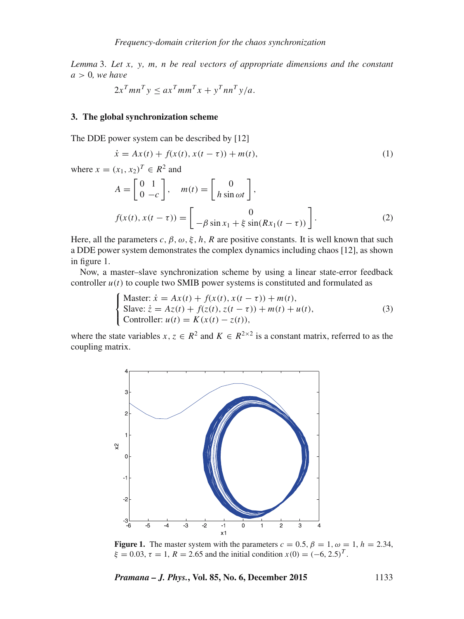*Lemma* 3. *Let* x*,* y*,* m*,* n *be real* v*ectors of appropriate dimensions and the constant*  $a > 0$ *, we have* 

$$
2x^T mn^T y \le ax^T mn^T x + y^T nn^T y/a.
$$

# **3. The global synchronization scheme**

The DDE power system can be described by [12]

$$
\dot{x} = Ax(t) + f(x(t), x(t - \tau)) + m(t),
$$
\n(1)

where 
$$
x = (x_1, x_2)^T \in R^2
$$
 and

$$
A = \begin{bmatrix} 0 & 1 \\ 0 & -c \end{bmatrix}, \quad m(t) = \begin{bmatrix} 0 \\ h \sin \omega t \end{bmatrix},
$$

$$
f(x(t), x(t-\tau)) = \begin{bmatrix} 0 \\ -\beta \sin x_1 + \xi \sin(Rx_1(t-\tau)) \end{bmatrix}.
$$
 (2)

Here, all the parameters c,  $\beta$ ,  $\omega$ ,  $\xi$ , h, R are positive constants. It is well known that such a DDE power system demonstrates the complex dynamics including chaos [12], as shown in figure 1.

Now, a master–slave synchronization scheme by using a linear state-error feedback controller  $u(t)$  to couple two SMIB power systems is constituted and formulated as

$$
\begin{cases}\n\text{Master: } \dot{x} = Ax(t) + f(x(t), x(t - \tau)) + m(t), \\
\text{Slave: } \dot{z} = Az(t) + f(z(t), z(t - \tau)) + m(t) + u(t), \\
\text{Controller: } u(t) = K(x(t) - z(t)),\n\end{cases} (3)
$$

where the state variables  $x, z \in \mathbb{R}^2$  and  $K \in \mathbb{R}^{2 \times 2}$  is a constant matrix, referred to as the counting matrix coupling matrix.



**Figure 1.** The master system with the parameters  $c = 0.5$ ,  $\beta = 1$ ,  $\omega = 1$ ,  $h = 2.34$ ,  $\xi = 0.03$ ,  $\tau = 1$ ,  $R = 2.65$  and the initial condition  $x(0) = (-6, 2.5)^T$ .

*Pramana – J. Phys.***, Vol. 85, No. 6, December 2015** 1133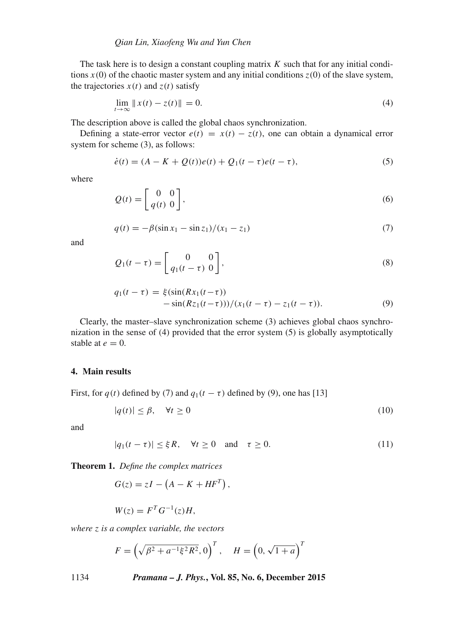The task here is to design a constant coupling matrix  $K$  such that for any initial conditions  $x(0)$  of the chaotic master system and any initial conditions  $z(0)$  of the slave system, the trajectories  $x(t)$  and  $z(t)$  satisfy

$$
\lim_{t \to \infty} ||x(t) - z(t)|| = 0. \tag{4}
$$

The description above is called the global chaos synchronization.

Defining a state-error vector  $e(t) = x(t) - z(t)$ , one can obtain a dynamical error system for scheme (3), as follows:

$$
\dot{e}(t) = (A - K + Q(t))e(t) + Q_1(t - \tau)e(t - \tau),
$$
\n(5)

where

$$
Q(t) = \begin{bmatrix} 0 & 0 \\ q(t) & 0 \end{bmatrix},\tag{6}
$$

$$
q(t) = -\beta(\sin x_1 - \sin z_1)/(x_1 - z_1)
$$
\n(7)

and

$$
Q_1(t-\tau) = \begin{bmatrix} 0 & 0 \\ q_1(t-\tau) & 0 \end{bmatrix},\tag{8}
$$

$$
q_1(t-\tau) = \xi(\sin(Rx_1(t-\tau)) - \sin(Rz_1(t-\tau)))(x_1(t-\tau) - z_1(t-\tau)).
$$
\n(9)

Clearly, the master–slave synchronization scheme (3) achieves global chaos synchronization in the sense of (4) provided that the error system (5) is globally asymptotically stable at  $e = 0$ .

#### **4. Main results**

First, for  $q(t)$  defined by (7) and  $q_1(t - \tau)$  defined by (9), one has [13]

$$
|q(t)| \leq \beta, \quad \forall t \geq 0 \tag{10}
$$

and

$$
|q_1(t - \tau)| \le \xi R, \quad \forall t \ge 0 \quad \text{and} \quad \tau \ge 0. \tag{11}
$$

**Theorem 1.** *Define the complex matrices*

$$
G(z) = zI - \left(A - K + HF^{T}\right),
$$

$$
W(z) = FT G-1(z) H,
$$

*where* z *is a complex* v*ariable, the* v*ectors*

$$
F = \left(\sqrt{\beta^2 + a^{-1}\xi^2 R^2}, 0\right)^T
$$
,  $H = \left(0, \sqrt{1 + a}\right)^T$ 

1134 *Pramana – J. Phys.***, Vol. 85, No. 6, December 2015**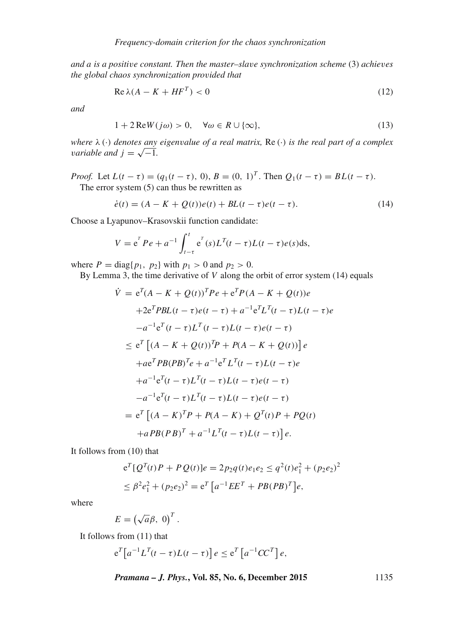*and* a *is a positi*v*e constant. Then the master–sla*v*e synchronization scheme* (3) *achie*v*es the global chaos synchronization pro*v*ided that*

$$
\operatorname{Re}\lambda(A - K + HF^T) < 0\tag{12}
$$

*and*

$$
1 + 2\operatorname{Re}W(j\omega) > 0, \quad \forall \omega \in R \cup \{\infty\},\tag{13}
$$

*where* <sup>λ</sup> (·) *denotes any eigen*v*alue of a real matrix,* Re (·) *is the real part of a complex variable and*  $j = \sqrt{-1}$ *.* 

*Proof.* Let  $L(t - \tau) = (q_1(t - \tau), 0), B = (0, 1)^T$ . Then  $Q_1(t - \tau) = BL(t - \tau)$ .<br>The error system (5) can thus be rewritten as The error system (5) can thus be rewritten as

$$
\dot{e}(t) = (A - K + Q(t))e(t) + BL(t - \tau)e(t - \tau).
$$
 (14)

Choose a Lyapunov–Krasovskii function candidate:

$$
V = e^{T} Pe + a^{-1} \int_{t-\tau}^{t} e^{T}(s) L^{T}(t-\tau) L(t-\tau) e(s) ds,
$$

where  $P = \text{diag}\{p_1, p_2\}$  with  $p_1 > 0$  and  $p_2 > 0$ .<br>By Lemma 3, the time derivative of V along the

By Lemma 3, the time derivative of  $V$  along the orbit of error system (14) equals

$$
\dot{V} = e^{T}(A - K + Q(t))^{T}Pe + e^{T}P(A - K + Q(t))e
$$
  
+2e<sup>T</sup>*PBL*(t -  $\tau$ )*e*(t -  $\tau$ ) +  $a^{-1}e^{T}L^{T}(t - \tau)L(t - \tau)e$   
- $a^{-1}e^{T}(t - \tau)L^{T}(t - \tau)L(t - \tau)e(t - \tau)$   
 $\leq e^{T}[(A - K + Q(t))^{T}P + P(A - K + Q(t))]e$   
+ $ae^{T}PB(PB)^{T}e + a^{-1}e^{T}L^{T}(t - \tau)L(t - \tau)e$   
+ $a^{-1}e^{T}(t - \tau)L^{T}(t - \tau)L(t - \tau)e(t - \tau)$   
- $a^{-1}e^{T}(t - \tau)L^{T}(t - \tau)L(t - \tau)e(t - \tau)$   
=  $e^{T}[(A - K)^{T}P + P(A - K) + Q^{T}(t)P + PQ(t)$   
+ $aPB(PB)^{T} + a^{-1}L^{T}(t - \tau)L(t - \tau)]e$ .

It follows from (10) that

$$
e^{T}[Q^{T}(t)P + PQ(t)]e = 2p_2q(t)e_1e_2 \leq q^2(t)e_1^2 + (p_2e_2)^2
$$
  

$$
\leq \beta^2e_1^2 + (p_2e_2)^2 = e^{T}[a^{-1}EE^{T} + PB(PB)^{T}]e,
$$

where

$$
E = \left(\sqrt{a}\beta, 0\right)^T.
$$

It follows from (11) that

$$
e^{T}\left[a^{-1}L^{T}(t-\tau)L(t-\tau)\right]e \leq e^{T}\left[a^{-1}CC^{T}\right]e,
$$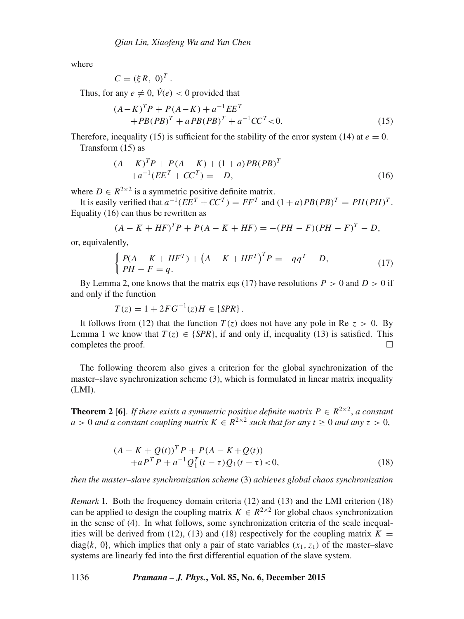where

$$
C = (\xi R, 0)^T.
$$

Thus, for any  $e \neq 0$ ,  $V(e) < 0$  provided that

$$
(A - K)^{T}P + P(A - K) + a^{-1}EE^{T}
$$
  
+  $PB(PB)^{T} + aPB(PB)^{T} + a^{-1}CC^{T} < 0.$  (15)

Therefore, inequality (15) is sufficient for the stability of the error system (14) at  $e = 0$ . Transform (15) as

$$
(A - K)^{T}P + P(A - K) + (1 + a)PB(PB)^{T}
$$
  
+ $a^{-1}(EE^{T} + CC^{T}) = -D,$  (16)

where  $D \in R^{2\times 2}$  is a symmetric positive definite matrix.<br>It is easily verified that  $a^{-1}(EF^T + CC^T) = EF^T$  and

It is easily verified that  $a^{-1}(EE^T + CC^T) = FF^T$  and  $(1+a)PB(PB)^T = PH(PH)^T$ .<br>
unality (16) can thus be rewritten as Equality (16) can thus be rewritten as

$$
(A - K + HF)^{T}P + P(A - K + HF) = -(PH - F)(PH - F)^{T} - D,
$$

or, equivalently,

$$
\begin{cases} P(A - K + HF^{T}) + (A - K + HF^{T})^{T}P = -qq^{T} - D, \\ PH - F = q. \end{cases}
$$
 (17)

By Lemma 2, one knows that the matrix eqs (17) have resolutions  $P > 0$  and  $D > 0$  if d only if the function and only if the function

$$
T(z) = 1 + 2FG^{-1}(z)H \in \{SPR\}.
$$

It follows from (12) that the function  $T(z)$  does not have any pole in Re  $z > 0$ . By mma 1 we know that  $T(z) \in \{SPR\}$  if and only if inequality (13) is satisfied. This Lemma 1 we know that  $T(z) \in \{SPR\}$ , if and only if, inequality (13) is satisfied. This completes the proof completes the proof.

The following theorem also gives a criterion for the global synchronization of the master–slave synchronization scheme (3), which is formulated in linear matrix inequality (LMI).

**Theorem 2** [6]. *If there exists a symmetric positive definite matrix*  $P \in R^{2\times 2}$ , *a constant* a > 0 and a constant coupling matrix  $K \in R^{2 \times 2}$  such that for any  $t > 0$  and any  $\tau > 0$ ,

$$
(A - K + Q(t))^{T} P + P(A - K + Q(t))
$$
  
+ $a P^{T} P + a^{-1} Q_{1}^{T} (t - \tau) Q_{1} (t - \tau) < 0,$  (18)

*then the master*–*sla*v*e synchronization scheme* (3) *achie*v*es global chaos synchronization*

*Remark* 1*.* Both the frequency domain criteria (12) and (13) and the LMI criterion (18) can be applied to design the coupling matrix  $K \in R^{2\times 2}$  for global chaos synchronization in the sense of (4). In what follows, some synchronization criteria of the scale inequalities will be derived from (12), (13) and (18) respectively for the coupling matrix  $K =$ diag{k, 0}, which implies that only a pair of state variables  $(x_1, z_1)$  of the master–slave systems are linearly fed into the first differential equation of the slave system.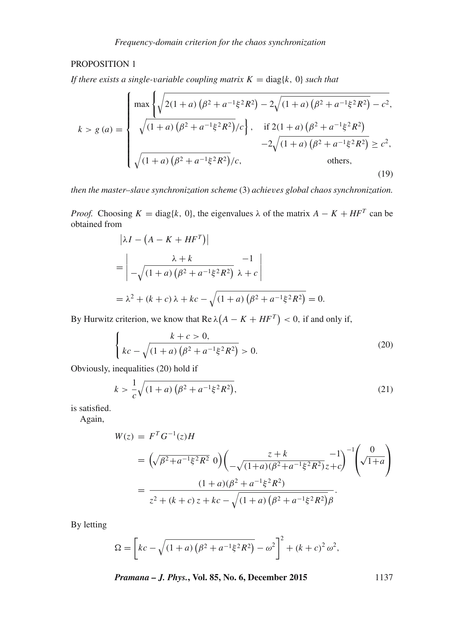# PROPOSITION 1

*If there exists a single-variable coupling matrix*  $K = \text{diag}\{k, 0\}$  *such that* 

$$
k > g (a) = \begin{cases} \max \left\{ \sqrt{2(1+a)\left(\beta^2 + a^{-1}\xi^2 R^2\right) - 2\sqrt{(1+a)\left(\beta^2 + a^{-1}\xi^2 R^2\right)} - c^2}, \\ \sqrt{(1+a)\left(\beta^2 + a^{-1}\xi^2 R^2\right)}/c \right\}, & \text{if } 2(1+a)\left(\beta^2 + a^{-1}\xi^2 R^2\right) \\ -2\sqrt{(1+a)\left(\beta^2 + a^{-1}\xi^2 R^2\right)} / c, & \text{others,} \end{cases}
$$
(19)

*then the master–sla*v*e synchronization scheme* (3) *achie*v*es global chaos synchronization.*

*Proof.* Choosing  $K = \text{diag}\{k, 0\}$ , the eigenvalues  $\lambda$  of the matrix  $A - K + HF^{T}$  can be obtained from

$$
\left|\lambda I - \left(A - K + HF^{T}\right)\right|
$$
  
= 
$$
\left| -\sqrt{(1+a)\left(\beta^{2} + a^{-1}\xi^{2}R^{2}\right)} \frac{-1}{\lambda + c} \right|
$$
  
= 
$$
\lambda^{2} + (k + c)\lambda + kc - \sqrt{(1+a)\left(\beta^{2} + a^{-1}\xi^{2}R^{2}\right)} = 0.
$$

By Hurwitz criterion, we know that  $\text{Re }\lambda(A - K + HF^T) < 0$ , if and only if,

$$
\begin{cases}\n k + c > 0, \\
 kc - \sqrt{(1 + a)\left(\beta^2 + a^{-1}\xi^2 R^2\right)} > 0.\n\end{cases}
$$
\n<sup>(20)</sup>

Obviously, inequalities (20) hold if

$$
k > \frac{1}{c}\sqrt{(1+a)\left(\beta^2 + a^{-1}\xi^2 R^2\right)},
$$
\n(21)

is satisfied.

Again,

$$
W(z) = FT G-1(z) H
$$
  
=  $\left(\sqrt{\beta^2 + a^{-1} \xi^2 R^2} \ 0\right) \left(\frac{z + k}{\sqrt{(1+a)(\beta^2 + a^{-1} \xi^2 R^2)}} z + c\right)^{-1} \left(\sqrt{1+a}\right)$   
=  $\frac{(1+a)(\beta^2 + a^{-1} \xi^2 R^2)}{z^2 + (k+c)z + kc - \sqrt{(1+a)(\beta^2 + a^{-1} \xi^2 R^2)} \beta}.$ 

By letting

$$
\Omega = \left[kc - \sqrt{(1+a)\left(\beta^2 + a^{-1}\xi^2 R^2\right)} - \omega^2\right]^2 + (k+c)^2 \omega^2,
$$

*Pramana – J. Phys.***, Vol. 85, No. 6, December 2015** 1137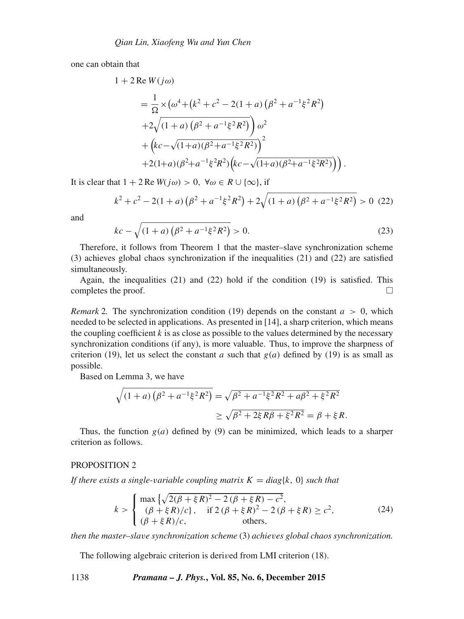one can obtain that

$$
1 + 2 \operatorname{Re} W(j\omega)
$$
  
=  $\frac{1}{\Omega} \times (\omega^4 + (k^2 + c^2 - 2(1 + a) (\beta^2 + a^{-1}\xi^2 R^2))$   
+  $2\sqrt{(1 + a) (\beta^2 + a^{-1}\xi^2 R^2)}) \omega^2$   
+  $(kc - \sqrt{(1+a) (\beta^2 + a^{-1}\xi^2 R^2)})^2$   
+  $2(1+a) (\beta^2 + a^{-1}\xi^2 R^2) (kc - \sqrt{(1+a) (\beta^2 + a^{-1}\xi^2 R^2)}) )$ 

It is clear that  $1 + 2 \text{Re } W(j\omega) > 0$ ,  $\forall \omega \in R \cup \{\infty\}$ , if

$$
k^{2} + c^{2} - 2(1+a)\left(\beta^{2} + a^{-1}\xi^{2}R^{2}\right) + 2\sqrt{(1+a)\left(\beta^{2} + a^{-1}\xi^{2}R^{2}\right)} > 0 \tag{22}
$$

and

$$
kc - \sqrt{(1+a)\left(\beta^2 + a^{-1}\xi^2 R^2\right)} > 0.
$$
\n(23)

Therefore, it follows from Theorem 1 that the master–slave synchronization scheme (3) achieves global chaos synchronization if the inequalities (21) and (22) are satisfied simultaneously.

Again, the inequalities (21) and (22) hold if the condition (19) is satisfied. This completes the proof.  $\Box$ 

*Remark* 2. The synchronization condition (19) depends on the constant  $a > 0$ , which needed to be selected in applications. As presented in [14], a sharp criterion, which means the coupling coefficient  $k$  is as close as possible to the values determined by the necessary synchronization conditions (if any), is more valuable. Thus, to improve the sharpness of criterion (19), let us select the constant a such that  $g(a)$  defined by (19) is as small as possible.

Based on Lemma 3, we have

$$
\sqrt{(1+a)\left(\beta^2 + a^{-1}\xi^2 R^2\right)} = \sqrt{\beta^2 + a^{-1}\xi^2 R^2 + a\beta^2 + \xi^2 R^2}
$$
  
 
$$
\geq \sqrt{\beta^2 + 2\xi R\beta + \xi^2 R^2} = \beta + \xi R.
$$

Thus, the function  $g(a)$  defined by (9) can be minimized, which leads to a sharper criterion as follows.

#### PROPOSITION 2

*If there exists a single-variable coupling matrix*  $K = diag\{k, 0\}$  *such that* 

$$
k > \begin{cases} \max\left\{\sqrt{2(\beta + \xi R)^2 - 2(\beta + \xi R) - c^2}, \\ (\beta + \xi R)/c\right\}, & \text{if } 2(\beta + \xi R)^2 - 2(\beta + \xi R) \ge c^2, \\ (\beta + \xi R)/c, & \text{others}, \end{cases}
$$
(24)

*then the master–sla*v*e synchronization scheme* (3) *achie*v*es global chaos synchronization.*

The following algebraic criterion is derived from LMI criterion (18).

1138 *Pramana – J. Phys.***, Vol. 85, No. 6, December 2015**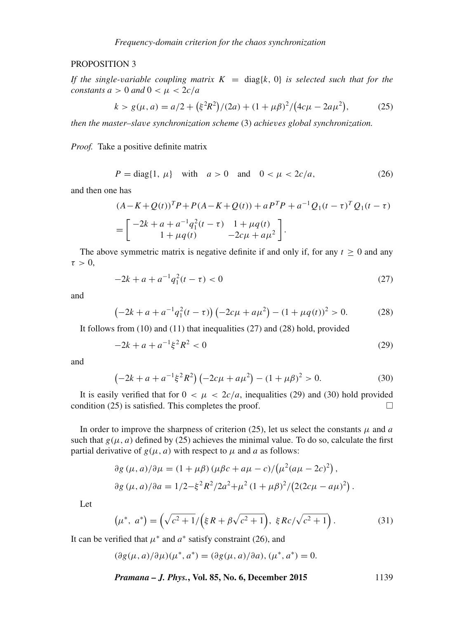# PROPOSITION 3

*If the single-variable coupling matrix*  $K = diag\{k, 0\}$  *is selected such that for the constants*  $a > 0$  *and*  $0 < \mu < 2c/a$ 

$$
k > g(\mu, a) = a/2 + (\xi^2 R^2)/(2a) + (1 + \mu \beta)^2/(4c\mu - 2a\mu^2),
$$
 (25)

*then the master–sla*v*e synchronization scheme* (3) *achie*v*es global synchronization.*

*Proof.* Take a positive definite matrix

$$
P = \text{diag}\{1, \mu\} \quad \text{with} \quad a > 0 \quad \text{and} \quad 0 < \mu < 2c/a,\tag{26}
$$

and then one has

$$
(A - K + Q(t))^T P + P(A - K + Q(t)) + aP^T P + a^{-1} Q_1 (t - \tau)^T Q_1 (t - \tau)
$$
  
= 
$$
\begin{bmatrix} -2k + a + a^{-1} q_1^2 (t - \tau) & 1 + \mu q(t) \\ 1 + \mu q(t) & -2c\mu + a\mu^2 \end{bmatrix}.
$$

The above symmetric matrix is negative definite if and only if, for any  $t \geq 0$  and any  $\tau > 0$ ,

$$
-2k + a + a^{-1}q_1^2(t - \tau) < 0 \tag{27}
$$

and

$$
\left(-2k+a+a^{-1}q_1^2(t-\tau)\right)\left(-2c\mu+a\mu^2\right) - (1+\mu q(t))^2 > 0. \tag{28}
$$

It follows from (10) and (11) that inequalities (27) and (28) hold, provided

$$
-2k + a + a^{-1}\xi^2 R^2 < 0\tag{29}
$$

and

$$
\left(-2k + a + a^{-1}\xi^2 R^2\right)\left(-2c\mu + a\mu^2\right) - (1 + \mu\beta)^2 > 0.
$$
 (30)

It is easily verified that for  $0 < \mu < 2c/a$ , inequalities (29) and (30) hold provided notion (25) is satisfied. This completes the proof condition (25) is satisfied. This completes the proof.  $\Box$ 

In order to improve the sharpness of criterion (25), let us select the constants  $\mu$  and a such that  $g(\mu, a)$  defined by (25) achieves the minimal value. To do so, calculate the first partial derivative of  $g(\mu, a)$  with respect to  $\mu$  and a as follows:

$$
\partial g(\mu, a)/\partial \mu = (1 + \mu \beta) (\mu \beta c + a\mu - c) / (\mu^2 (a\mu - 2c)^2),
$$
  

$$
\partial g(\mu, a)/\partial a = 1/2 - \xi^2 R^2 / 2a^2 + \mu^2 (1 + \mu \beta)^2 / (2(2c\mu - a\mu)^2).
$$

Let

$$
\left(\mu^*,\ a^*\right) = \left(\sqrt{c^2 + 1}/\left(\xi R + \beta\sqrt{c^2 + 1}\right),\ \xi R c/\sqrt{c^2 + 1}\right). \tag{31}
$$

It can be verified that  $\mu^*$  and  $a^*$  satisfy constraint (26), and

$$
(\partial g(\mu, a)/\partial \mu)(\mu^*, a^*) = (\partial g(\mu, a)/\partial a), (\mu^*, a^*) = 0.
$$

*Pramana – J. Phys.***, Vol. 85, No. 6, December 2015** 1139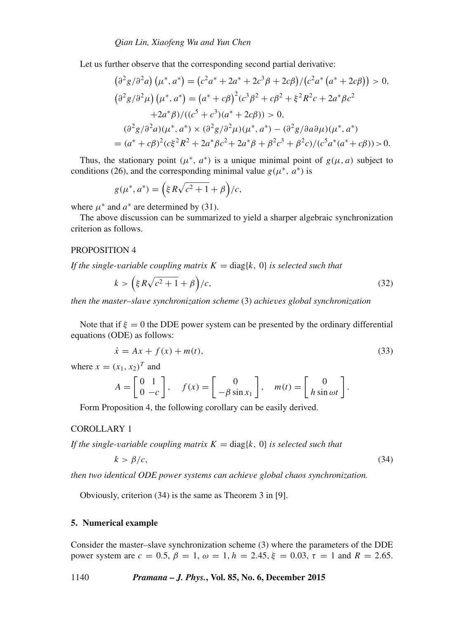Let us further observe that the corresponding second partial derivative:

$$
(\partial^2 g/\partial^2 a) (\mu^*, a^*) = (c^2 a^* + 2a^* + 2c^3 \beta + 2c\beta)/ (c^2 a^* (a^* + 2c\beta)) > 0,
$$
  
\n
$$
(\partial^2 g/\partial^2 \mu) (\mu^*, a^*) = (a^* + c\beta)^2 (c^3 \beta^2 + c\beta^2 + \xi^2 R^2 c + 2a^* \beta c^2
$$
  
\n
$$
+ 2a^* \beta)/ ((c^5 + c^3)(a^* + 2c\beta)) > 0,
$$
  
\n
$$
(\partial^2 g/\partial^2 a) (\mu^*, a^*) \times (\partial^2 g/\partial^2 \mu) (\mu^*, a^*) - (\partial^2 g/\partial a \partial \mu) (\mu^*, a^*)
$$
  
\n
$$
= (a^* + c\beta)^2 (c\xi^2 R^2 + 2a^* \beta c^2 + 2a^* \beta + \beta^2 c^3 + \beta^2 c)/ (c^5 a^* (a^* + c\beta)) > 0.
$$

Thus, the stationary point  $(\mu^*, a^*)$  is a unique minimal point of  $g(\mu, a)$  subject to conditions (26), and the corresponding minimal value  $g(\mu^*, a^*)$  is

$$
g(\mu^*, a^*) = \left(\xi R\sqrt{c^2 + 1} + \beta\right)/c,
$$

where  $\mu^*$  and  $a^*$  are determined by (31).

The above discussion can be summarized to yield a sharper algebraic synchronization criterion as follows.

## PROPOSITION 4

*If the single-variable coupling matrix*  $K = \text{diag}\{k, 0\}$  *is selected such that* 

$$
k > \left(\xi R\sqrt{c^2 + 1} + \beta\right)/c,\tag{32}
$$

*then the master–sla*v*e synchronization scheme* (3) *achie*v*es global synchronization*

Note that if  $\xi = 0$  the DDE power system can be presented by the ordinary differential equations (ODE) as follows:

$$
\dot{x} = Ax + f(x) + m(t),
$$
\n(33)

where  $x = (x_1, x_2)^T$  and

$$
A = \begin{bmatrix} 0 & 1 \\ 0 & -c \end{bmatrix}, \quad f(x) = \begin{bmatrix} 0 \\ -\beta \sin x_1 \end{bmatrix}, \quad m(t) = \begin{bmatrix} 0 \\ h \sin \omega t \end{bmatrix}.
$$

Form Proposition 4, the following corollary can be easily derived.

#### COROLLARY 1

*If the single-variable coupling matrix*  $K = \text{diag}\{k, 0\}$  *is selected such that* 

$$
k > \beta/c,\tag{34}
$$

*then two identical ODE power systems can achie*v*e global chaos synchronization.*

Obviously, criterion (34) is the same as Theorem 3 in [9].

#### **5. Numerical example**

Consider the master–slave synchronization scheme (3) where the parameters of the DDE power system are  $c = 0.5$ ,  $\beta = 1$ ,  $\omega = 1$ ,  $h = 2.45$ ,  $\xi = 0.03$ ,  $\tau = 1$  and  $R = 2.65$ .

1140 *Pramana – J. Phys.***, Vol. 85, No. 6, December 2015**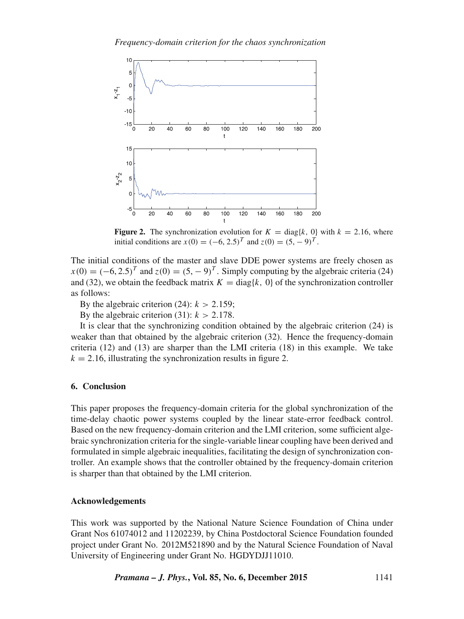*Frequency-domain criterion for the chaos synchronization*



**Figure 2.** The synchronization evolution for  $K = \text{diag}\{k, 0\}$  with  $k = 2.16$ , where initial conditions are  $x(0) = (-6, 2.5)^T$  and  $z(0) = (5, -9)^T$ .

The initial conditions of the master and slave DDE power systems are freely chosen as  $x(0) = (-6, 2.5)^T$  and  $z(0) = (5, -9)^T$ . Simply computing by the algebraic criteria (24)<br>and (32) we obtain the feedback matrix  $K = \text{diag}[k]$ . Of the synchronization controller and (32), we obtain the feedback matrix  $K = diag\{k, 0\}$  of the synchronization controller as follows:

By the algebraic criterion (24):  $k > 2.159$ ;

By the algebraic criterion (31):  $k > 2.178$ .

It is clear that the synchronizing condition obtained by the algebraic criterion (24) is weaker than that obtained by the algebraic criterion (32). Hence the frequency-domain criteria (12) and (13) are sharper than the LMI criteria (18) in this example. We take  $k = 2.16$ , illustrating the synchronization results in figure 2.

# **6. Conclusion**

This paper proposes the frequency-domain criteria for the global synchronization of the time-delay chaotic power systems coupled by the linear state-error feedback control. Based on the new frequency-domain criterion and the LMI criterion, some sufficient algebraic synchronization criteria for the single-variable linear coupling have been derived and formulated in simple algebraic inequalities, facilitating the design of synchronization controller. An example shows that the controller obtained by the frequency-domain criterion is sharper than that obtained by the LMI criterion.

## **Acknowledgements**

This work was supported by the National Nature Science Foundation of China under Grant Nos 61074012 and 11202239, by China Postdoctoral Science Foundation founded project under Grant No. 2012M521890 and by the Natural Science Foundation of Naval University of Engineering under Grant No. HGDYDJJ11010.